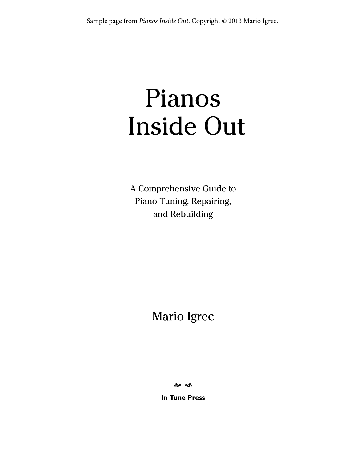# Pianos Inside Out

A Comprehensive Guide to Piano Tuning, Repairing, and Rebuilding

Mario Igrec

.<br>శాం

**In Tune Press**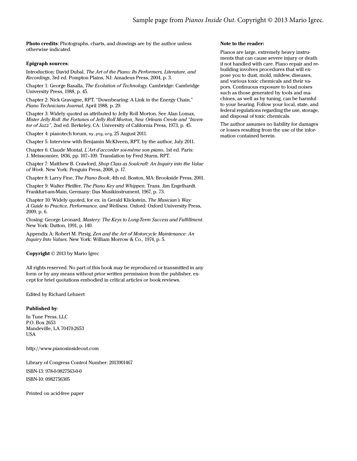Photo credits: Photographs, charts, and drawings are by the author unless otherwise indicated.

# Epigraph sources:

Introduction: David Dubal, The Art of the Piano: Its Performers, Literature, and Recordings, 3rd ed. Pompton Plains, NJ: Amadeus Press, 2004, p. 3.

Chapter 1: George Basalla, The Evolution of Technology. Cambridge: Cambridge University Press, 1988, p. 45.

Chapter 2: Nick Gravagne, RPT, "Downbearing: A Link in the Energy Chain," Piano Technicians Journal, April 1988, p. 29.

Chapter 3: Widely quoted as attributed to Jelly Roll Morton. See Alan Lomax, Mister Jelly Roll: the Fortunes of Jelly Roll Morton, New Orleans Creole and "Inventor of Jazz", 2nd ed. Berkeley, CA: University of California Press, 1973, p. 45.

Chapter 4: pianotech forum, my.ptg.org, 25 August 2011.

Chapter 5: Interview with Benjamin McKlveen, RPT, by the author, July 2011.

Chapter 6: Claude Montal, L'Art d'accorder soi-mème son piano, 1st ed. Paris: J. Meissonnier, 1836, pp. 107–109. Translation by Fred Sturm, RPT.

Chapter 7: Matthew B. Crawford, Shop Class as Soulcraft: An Inquiry into the Value of Work. New York: Penguin Press, 2008, p. 17.

Chapter 8: Larry Fine, The Piano Book, 4th ed. Boston, MA: Brookside Press, 2001.

Chapter 9: Walter Pfeiffer, The Piano Key and Whippen. Trans. Jim Engelhardt. Frankfurt-am-Main, Germany: Das Musikinstrument, 1967, p. 73.

Chapter 10: Widely quoted, for ex. in Gerald Klickstein, The Musician's Way: A Guide to Practice, Performance, and Wellness. Oxford: Oxford University Press, 2009, p. 6.

Closing: George Leonard, Mastery: The Keys to Long-Term Success and Fulfillment. New York: Dutton, 1991, p. 140.

Appendix A: Robert M. Pirsig, Zen and the Art of Motorcycle Maintenance: An Inquiry Into Values. New York: William Morrow & Co., 1974, p. 5.

### Copyright © 2013 by Mario Igrec

All rights reserved. No part of this book may be reproduced or transmitted in any form or by any means without prior written permission from the publisher, except for brief quotations embodied in critical articles or book reviews.

Edited by Richard Lehnert

### Published by:

In Tune Press, LLC P.O. Box 2653 Mandeville, LA 70470-2653 USA

http://www.pianosinsideout.com

Library of Congress Control Number: 2013901467 ISBN-13: 978-0-9827563-0-0 ISBN-10: 0982756305

Printed on acid-free paper

# Note to the reader:

Pianos are large, extremely heavy instruments that can cause severe injury or death if not handled with care. Piano repair and rebuilding involves procedures that will expose you to dust, mold, mildew, diseases, and various toxic chemicals and their vapors. Continuous exposure to loud noises such as those generated by tools and machines, as well as by tuning, can be harmful to your hearing. Follow your local, state, and federal regulations regarding the use, storage, and disposal of toxic chemicals.

The author assumes no liability for damages or losses resulting from the use of the information contained herein.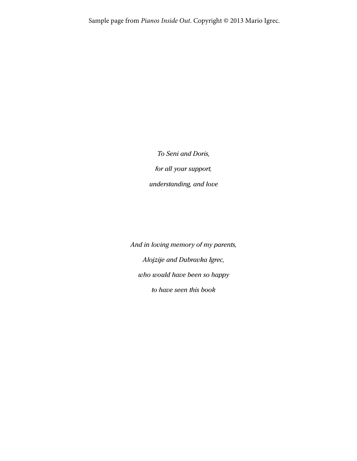To Seni and Doris, for all your support, understanding, and love

And in loving memory of my parents, Alojzije and Dubravka Igrec, who would have been so happy to have seen this book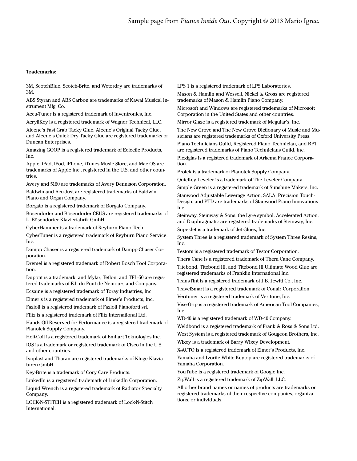# Trademarks:

3M, ScotchBlue, Scotch-Brite, and Wetordry are trademarks of 3M.

ABS Styran and ABS Carbon are trademarks of Kawai Musical Instrument Mfg. Co.

Accu-Tuner is a registered trademark of Inventronics, Inc.

AcryliKey is a registered trademark of Wagner Technical, LLC.

Aleene's Fast Grab Tacky Glue, Aleene's Original Tacky Glue, and Aleene's Quick Dry Tacky Glue are registered trademarks of Duncan Enterprises.

Amazing GOOP is a registered trademark of Eclectic Products, Inc.

Apple, iPad, iPod, iPhone, iTunes Music Store, and Mac OS are trademarks of Apple Inc., registered in the U.S. and other countries.

Avery and 5160 are trademarks of Avery Dennison Corporation.

Baldwin and Acu-Just are registered trademarks of Baldwin Piano and Organ Company.

Borgato is a registered trademark of Borgato Company.

Bösendorfer and Bösendorfer CEUS are registered trademarks of L. Bösendorfer Klavierfabrik GmbH.

CyberHammer is a trademark of Reyburn Piano Tech.

CyberTuner is a registered trademark of Reyburn Piano Service, Inc.

Dampp Chaser is a registered trademark of Dampp-Chaser Corporation.

Dremel is a registered trademark of Robert Bosch Tool Corporation.

Dupont is a trademark, and Mylar, Teflon, and TFL-50 are registered trademarks of E.I. du Pont de Nemours and Company.

Ecsaine is a registered trademark of Toray Industries, Inc.

Elmer's is a registered trademark of Elmer's Products, Inc.

Fazioli is a registered trademark of Fazioli Pianoforti srl.

Flitz is a registered trademark of Flitz International Ltd.

Hands Off Reserved for Performance is a registered trademark of Pianotek Supply Company.

Heli-Coil is a registered trademark of Emhart Teknologies Inc.

IOS is a trademark or registered trademark of Cisco in the U.S. and other countries.

Ivoplast and Tharan are registered trademarks of Kluge Klaviaturen GmbH.

Key-Brite is a trademark of Cory Care Products.

LinkedIn is a registered trademark of LinkedIn Corporation.

Liquid Wrench is a registered trademark of Radiator Specialty Company.

LOCK-N-STITCH is a registered trademark of Lock-N-Stitch **International** 

LPS 1 is a registered trademark of LPS Laboratories.

Mason & Hamlin and Wessell, Nickel & Gross are registered trademarks of Mason & Hamlin Piano Company.

Microsoft and Windows are registered trademarks of Microsoft Corporation in the United States and other countries.

Mirror Glaze is a registered trademark of Meguiar's, Inc.

The New Grove and The New Grove Dictionary of Music and Musicians are registered trademarks of Oxford University Press.

Piano Technicians Guild, Registered Piano Technician, and RPT are registered trademarks of Piano Technicians Guild, Inc.

Plexiglas is a registered trademark of Arkema France Corporation.

Protek is a trademark of Pianotek Supply Company.

QuicKey Leveler is a trademark of The Leveler Company.

Simple Green is a registered trademark of Sunshine Makers, Inc.

Stanwood Adjustable Leverage Action, SALA, Precision Touch-Design, and PTD are trademarks of Stanwood Piano Innovations Inc.

Steinway, Steinway & Sons, the Lyre symbol, Accelerated Action, and Diaphragmatic are registered trademarks of Steinway, Inc.

SuperJet is a trademark of Jet Glues, Inc.

System Three is a registered trademark of System Three Resins, Inc.

Testors is a registered trademark of Testor Corporation.

Thera Cane is a registered trademark of Thera Cane Company. Titebond, Titebond III, and Titebond III Ultimate Wood Glue are registered trademarks of Franklin International Inc.

TransTint is a registered trademark of J.B. Jewitt Co., Inc.

TravelSmart is a registered trademark of Conair Corporation.

Verituner is a registered trademark of Veritune, Inc.

Vise-Grip is a registered trademark of American Tool Companies, Inc.

WD-40 is a registered trademark of WD-40 Company.

Weldbond is a registered trademark of Frank & Ross & Sons Ltd.

West System is a registered trademark of Gougeon Brothers, Inc.

Wixey is a trademark of Barry Wixey Development.

X-ACTO is a registered trademark of Elmer's Products, Inc.

Yamaha and Ivorite White Keytop are registered trademarks of Yamaha Corporation.

YouTube is a registered trademark of Google Inc.

ZipWall is a registered trademark of ZipWall, LLC.

All other brand names or names of products are trademarks or registered trademarks of their respective companies, organizations, or individuals.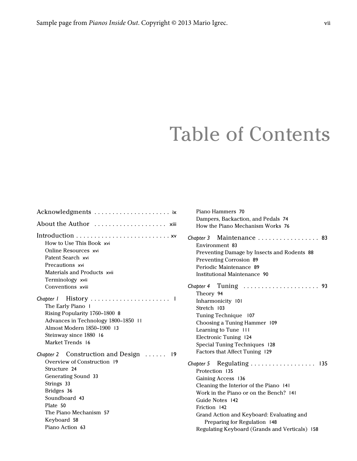# Table of Contents

| About the Author  xiii                                                                                                                                                                                                                          |
|-------------------------------------------------------------------------------------------------------------------------------------------------------------------------------------------------------------------------------------------------|
| How to Use This Book xvi<br>Online Resources xvi<br>Patent Search xvi<br>Precautions xvi<br>Materials and Products xvii<br>Terminology xvii<br>Conventions xviii                                                                                |
| Chapter I History<br>J.<br>The Early Piano I<br>Rising Popularity 1760-1800 8<br>Advances in Technology 1800-1850 11<br>Almost Modern 1850–1900 13<br>Steinway since 1880 16<br>Market Trends 16                                                |
| Chapter 2 Construction and Design $\ldots$ 19<br>Overview of Construction 19<br>Structure 24<br><b>Generating Sound 33</b><br>Strings 33<br>Bridges 36<br>Soundboard 43<br>Plate 50<br>The Piano Mechanism 57<br>Keyboard 58<br>Piano Action 63 |

| Piano Hammers 70                               |
|------------------------------------------------|
| Dampers, Backaction, and Pedals 74             |
| How the Piano Mechanism Works 76               |
| Chapter 3 Maintenance  83                      |
| Environment 83                                 |
| Preventing Damage by Insects and Rodents 88    |
| Preventing Corrosion 89                        |
| Periodic Maintenance 89                        |
| <b>Institutional Maintenance 90</b>            |
|                                                |
| Theory 94                                      |
| Inharmonicity 101                              |
| Stretch 103                                    |
| Tuning Technique 107                           |
| Choosing a Tuning Hammer 109                   |
| Learning to Tune III                           |
| Electronic Tuning 124                          |
| Special Tuning Techniques 128                  |
| Factors that Affect Tuning 129                 |
| Chapter 5 Regulating  135<br>Protection 135    |
| Gaining Access 136                             |
| Cleaning the Interior of the Piano 141         |
| Work in the Piano or on the Bench? 141         |
| Guide Notes 142                                |
| Friction 142                                   |
| Grand Action and Keyboard: Evaluating and      |
| Preparing for Regulation 148                   |
| Regulating Keyboard (Grands and Verticals) 158 |
|                                                |